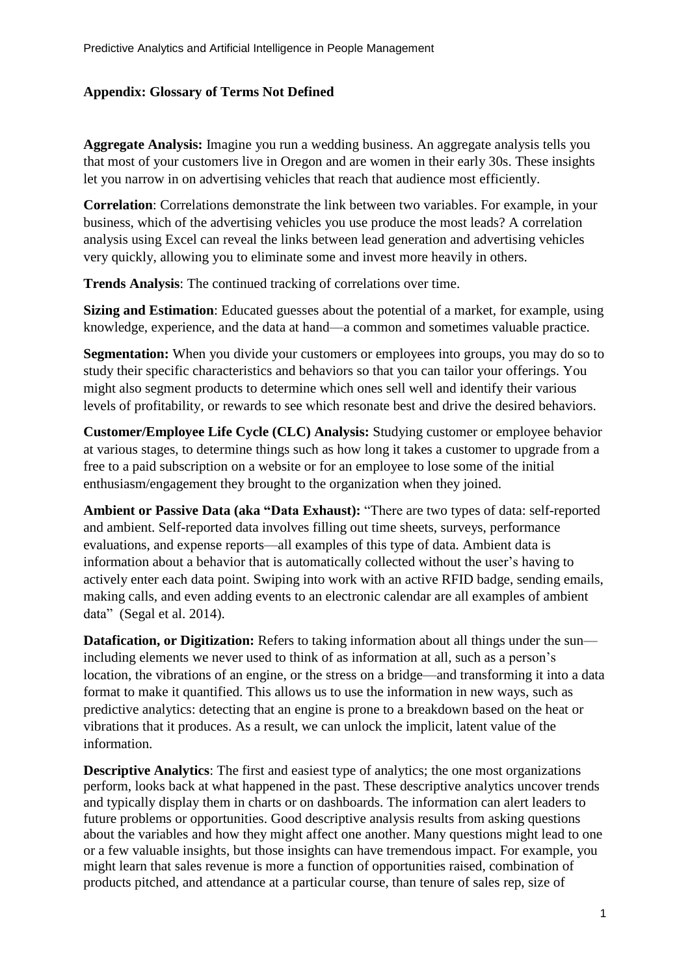## **Appendix: Glossary of Terms Not Defined**

**Aggregate Analysis:** Imagine you run a wedding business. An aggregate analysis tells you that most of your customers live in Oregon and are women in their early 30s. These insights let you narrow in on advertising vehicles that reach that audience most efficiently.

**Correlation**: Correlations demonstrate the link between two variables. For example, in your business, which of the advertising vehicles you use produce the most leads? A correlation analysis using Excel can reveal the links between lead generation and advertising vehicles very quickly, allowing you to eliminate some and invest more heavily in others.

**Trends Analysis**: The continued tracking of correlations over time.

**Sizing and Estimation**: Educated guesses about the potential of a market, for example, using knowledge, experience, and the data at hand—a common and sometimes valuable practice.

**Segmentation:** When you divide your customers or employees into groups, you may do so to study their specific characteristics and behaviors so that you can tailor your offerings. You might also segment products to determine which ones sell well and identify their various levels of profitability, or rewards to see which resonate best and drive the desired behaviors.

**Customer/Employee Life Cycle (CLC) Analysis:** Studying customer or employee behavior at various stages, to determine things such as how long it takes a customer to upgrade from a free to a paid subscription on a website or for an employee to lose some of the initial enthusiasm/engagement they brought to the organization when they joined.

**Ambient or Passive Data (aka "Data Exhaust):** "There are two types of data: self-reported and ambient. Self-reported data involves filling out time sheets, surveys, performance evaluations, and expense reports—all examples of this type of data. Ambient data is information about a behavior that is automatically collected without the user's having to actively enter each data point. Swiping into work with an active RFID badge, sending emails, making calls, and even adding events to an electronic calendar are all examples of ambient data" (Segal et al. 2014).

**Datafication, or Digitization:** Refers to taking information about all things under the sun including elements we never used to think of as information at all, such as a person's location, the vibrations of an engine, or the stress on a bridge—and transforming it into a data format to make it quantified. This allows us to use the information in new ways, such as predictive analytics: detecting that an engine is prone to a breakdown based on the heat or vibrations that it produces. As a result, we can unlock the implicit, latent value of the information.

**Descriptive Analytics**: The first and easiest type of analytics; the one most organizations perform, looks back at what happened in the past. These descriptive analytics uncover trends and typically display them in charts or on dashboards. The information can alert leaders to future problems or opportunities. Good descriptive analysis results from asking questions about the variables and how they might affect one another. Many questions might lead to one or a few valuable insights, but those insights can have tremendous impact. For example, you might learn that sales revenue is more a function of opportunities raised, combination of products pitched, and attendance at a particular course, than tenure of sales rep, size of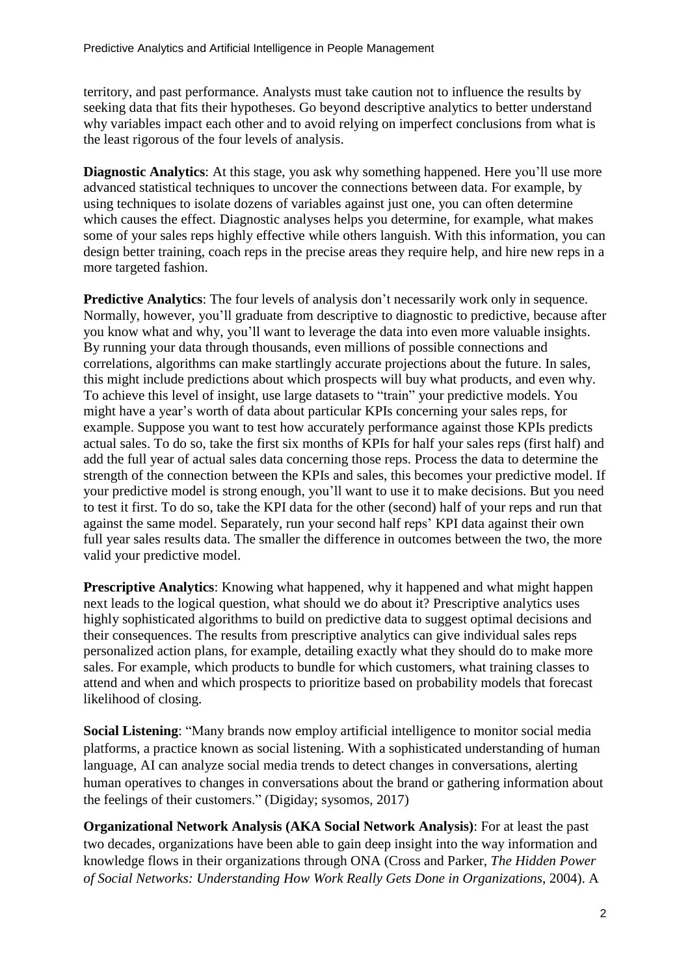territory, and past performance. Analysts must take caution not to influence the results by seeking data that fits their hypotheses. Go beyond descriptive analytics to better understand why variables impact each other and to avoid relying on imperfect conclusions from what is the least rigorous of the four levels of analysis.

**Diagnostic Analytics**: At this stage, you ask why something happened. Here you'll use more advanced statistical techniques to uncover the connections between data. For example, by using techniques to isolate dozens of variables against just one, you can often determine which causes the effect. Diagnostic analyses helps you determine, for example, what makes some of your sales reps highly effective while others languish. With this information, you can design better training, coach reps in the precise areas they require help, and hire new reps in a more targeted fashion.

**Predictive Analytics**: The four levels of analysis don't necessarily work only in sequence. Normally, however, you'll graduate from descriptive to diagnostic to predictive, because after you know what and why, you'll want to leverage the data into even more valuable insights. By running your data through thousands, even millions of possible connections and correlations, algorithms can make startlingly accurate projections about the future. In sales, this might include predictions about which prospects will buy what products, and even why. To achieve this level of insight, use large datasets to "train" your predictive models. You might have a year's worth of data about particular KPIs concerning your sales reps, for example. Suppose you want to test how accurately performance against those KPIs predicts actual sales. To do so, take the first six months of KPIs for half your sales reps (first half) and add the full year of actual sales data concerning those reps. Process the data to determine the strength of the connection between the KPIs and sales, this becomes your predictive model. If your predictive model is strong enough, you'll want to use it to make decisions. But you need to test it first. To do so, take the KPI data for the other (second) half of your reps and run that against the same model. Separately, run your second half reps' KPI data against their own full year sales results data. The smaller the difference in outcomes between the two, the more valid your predictive model.

**Prescriptive Analytics**: Knowing what happened, why it happened and what might happen next leads to the logical question, what should we do about it? Prescriptive analytics uses highly sophisticated algorithms to build on predictive data to suggest optimal decisions and their consequences. The results from prescriptive analytics can give individual sales reps personalized action plans, for example, detailing exactly what they should do to make more sales. For example, which products to bundle for which customers, what training classes to attend and when and which prospects to prioritize based on probability models that forecast likelihood of closing.

**Social Listening**: "Many brands now employ artificial intelligence to monitor social media platforms, a practice known as social listening. With a sophisticated understanding of human language, AI can analyze social media trends to detect changes in conversations, alerting human operatives to changes in conversations about the brand or gathering information about the feelings of their customers." (Digiday; sysomos, 2017)

**Organizational Network Analysis (AKA Social Network Analysis)**: For at least the past two decades, organizations have been able to gain deep insight into the way information and knowledge flows in their organizations through ONA (Cross and Parker, *The Hidden Power of Social Networks: Understanding How Work Really Gets Done in Organizations*, 2004). A